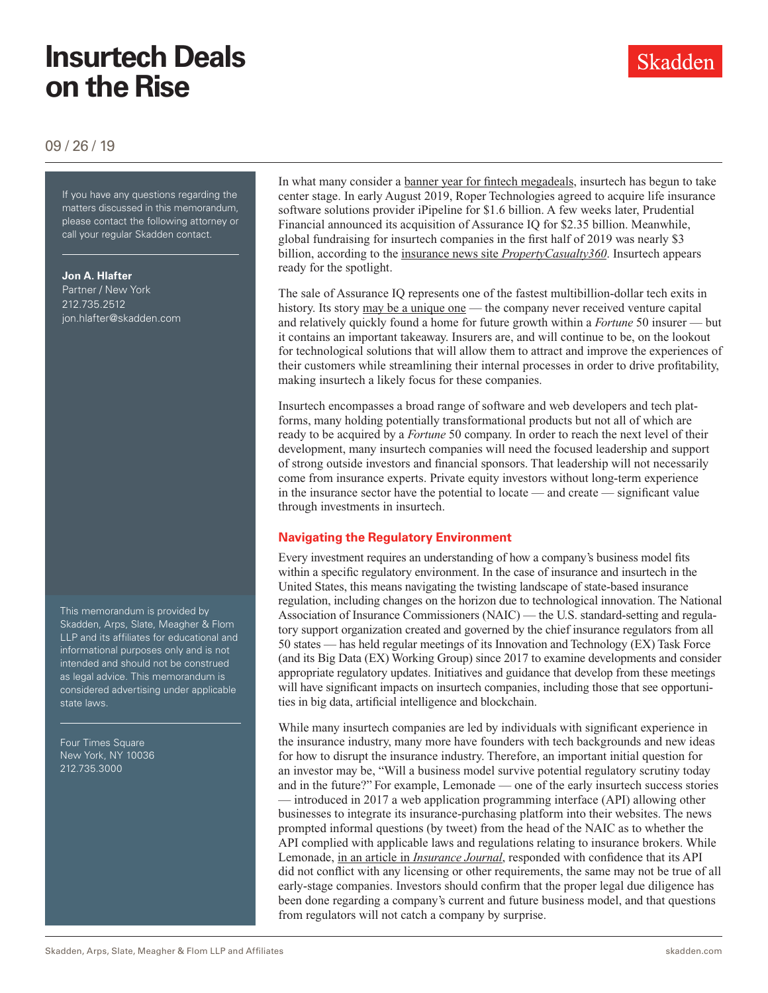# **Insurtech Deals on the Rise**

09 / 26 / 19

If you have any questions regarding If you have any questions regarding the matters discussed in this memorandum, please contact the following attorney or call your regular Skadden contact.

**Jon A. Hlafter**

Partner / New York 212.735.2512 jon.hlafter@skadden.com

This memorandum is provided by Skadden, Arps, Slate, Meagher & Flom LLP and its affiliates for educational and informational purposes only and is not intended and should not be construed as legal advice. This memorandum is considered advertising under applicable state laws.

Four Times Square New York, NY 10036 212.735.3000

In what many consider a [banner year for fintech megadeals](https://www.spglobal.com/marketintelligence/en/news-insights/trending/6CaOwNm2SwfRh9Y6f6jwjw2), insurtech has begun to take center stage. In early August 2019, Roper Technologies agreed to acquire life insurance software solutions provider iPipeline for \$1.6 billion. A few weeks later, Prudential Financial announced its acquisition of Assurance IQ for \$2.35 billion. Meanwhile, global fundraising for insurtech companies in the first half of 2019 was nearly \$3 billion, according to the insurance news site *[PropertyCasualty360](https://www.propertycasualty360.com/2019/09/17/insurtechs-achieved-a-record-breaking-3b-in-investments-in-first-half-2019)*. Insurtech appears ready for the spotlight.

The sale of Assurance IQ represents one of the fastest multibillion-dollar tech exits in history. Its story [may be a unique one](https://www.geekwire.com/2019/stealthy-insurance-tech-startup-bootstrapped-way-2-35b-acquisition-less-4-years) — the company never received venture capital and relatively quickly found a home for future growth within a *Fortune* 50 insurer — but it contains an important takeaway. Insurers are, and will continue to be, on the lookout for technological solutions that will allow them to attract and improve the experiences of their customers while streamlining their internal processes in order to drive profitability, making insurtech a likely focus for these companies.

Insurtech encompasses a broad range of software and web developers and tech platforms, many holding potentially transformational products but not all of which are ready to be acquired by a *Fortune* 50 company. In order to reach the next level of their development, many insurtech companies will need the focused leadership and support of strong outside investors and financial sponsors. That leadership will not necessarily come from insurance experts. Private equity investors without long-term experience in the insurance sector have the potential to locate — and create — significant value through investments in insurtech.

### **Navigating the Regulatory Environment**

Every investment requires an understanding of how a company's business model fits within a specific regulatory environment. In the case of insurance and insurtech in the United States, this means navigating the twisting landscape of state-based insurance regulation, including changes on the horizon due to technological innovation. The National Association of Insurance Commissioners (NAIC) — the U.S. standard-setting and regulatory support organization created and governed by the chief insurance regulators from all 50 states — has held regular meetings of its Innovation and Technology (EX) Task Force (and its Big Data (EX) Working Group) since 2017 to examine developments and consider appropriate regulatory updates. Initiatives and guidance that develop from these meetings will have significant impacts on insurtech companies, including those that see opportunities in big data, artificial intelligence and blockchain.

While many insurtech companies are led by individuals with significant experience in the insurance industry, many more have founders with tech backgrounds and new ideas for how to disrupt the insurance industry. Therefore, an important initial question for an investor may be, "Will a business model survive potential regulatory scrutiny today and in the future?" For example, Lemonade — one of the early insurtech success stories — introduced in 2017 a web application programming interface (API) allowing other businesses to integrate its insurance-purchasing platform into their websites. The news prompted informal questions (by tweet) from the head of the NAIC as to whether the API complied with applicable laws and regulations relating to insurance brokers. While Lemonade, in an article in *[Insurance Journal](https://www.insurancejournal.com/news/national/2017/12/11/473629.htm)*, responded with confidence that its API did not conflict with any licensing or other requirements, the same may not be true of all early-stage companies. Investors should confirm that the proper legal due diligence has been done regarding a company's current and future business model, and that questions from regulators will not catch a company by surprise.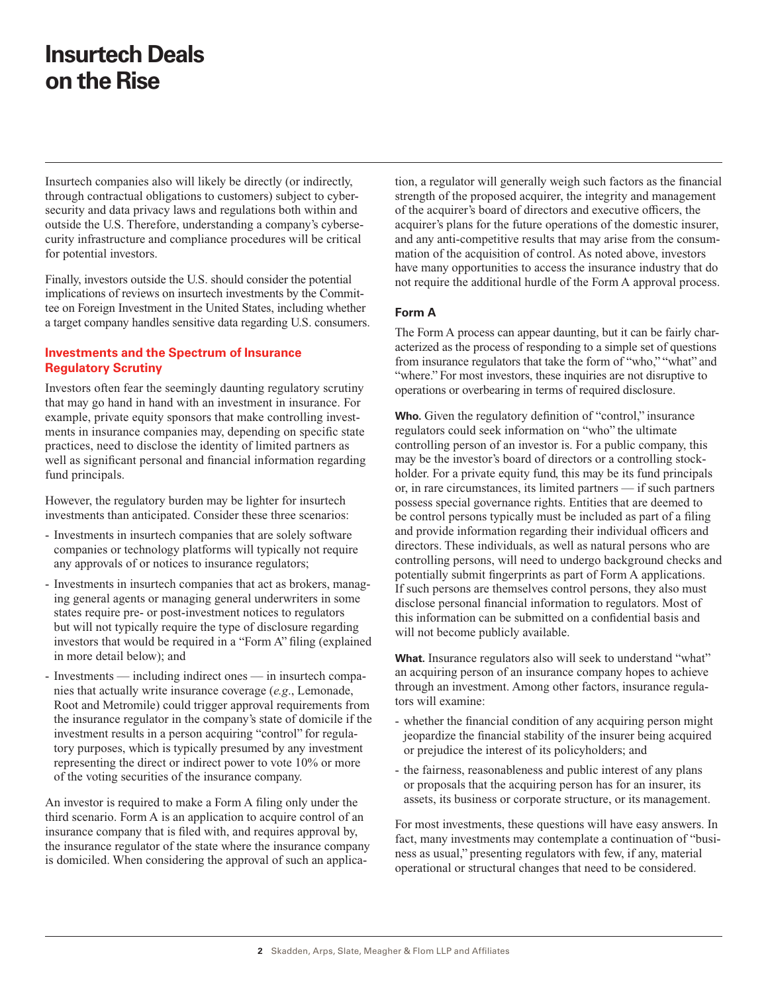### **Insurtech Deals on the Rise**

Insurtech companies also will likely be directly (or indirectly, through contractual obligations to customers) subject to cybersecurity and data privacy laws and regulations both within and outside the U.S. Therefore, understanding a company's cybersecurity infrastructure and compliance procedures will be critical for potential investors.

Finally, investors outside the U.S. should consider the potential implications of reviews on insurtech investments by the Committee on Foreign Investment in the United States, including whether a target company handles sensitive data regarding U.S. consumers.

#### **Investments and the Spectrum of Insurance Regulatory Scrutiny**

Investors often fear the seemingly daunting regulatory scrutiny that may go hand in hand with an investment in insurance. For example, private equity sponsors that make controlling investments in insurance companies may, depending on specific state practices, need to disclose the identity of limited partners as well as significant personal and financial information regarding fund principals.

However, the regulatory burden may be lighter for insurtech investments than anticipated. Consider these three scenarios:

- Investments in insurtech companies that are solely software companies or technology platforms will typically not require any approvals of or notices to insurance regulators;
- Investments in insurtech companies that act as brokers, managing general agents or managing general underwriters in some states require pre- or post-investment notices to regulators but will not typically require the type of disclosure regarding investors that would be required in a "Form A" filing (explained in more detail below); and
- Investments including indirect ones in insurtech companies that actually write insurance coverage (*e.g*., Lemonade, Root and Metromile) could trigger approval requirements from the insurance regulator in the company's state of domicile if the investment results in a person acquiring "control" for regulatory purposes, which is typically presumed by any investment representing the direct or indirect power to vote 10% or more of the voting securities of the insurance company.

An investor is required to make a Form A filing only under the third scenario. Form A is an application to acquire control of an insurance company that is filed with, and requires approval by, the insurance regulator of the state where the insurance company is domiciled. When considering the approval of such an application, a regulator will generally weigh such factors as the financial strength of the proposed acquirer, the integrity and management of the acquirer's board of directors and executive officers, the acquirer's plans for the future operations of the domestic insurer, and any anti-competitive results that may arise from the consummation of the acquisition of control. As noted above, investors have many opportunities to access the insurance industry that do not require the additional hurdle of the Form A approval process.

#### **Form A**

The Form A process can appear daunting, but it can be fairly characterized as the process of responding to a simple set of questions from insurance regulators that take the form of "who," "what" and "where." For most investors, these inquiries are not disruptive to operations or overbearing in terms of required disclosure.

Who. Given the regulatory definition of "control," insurance regulators could seek information on "who" the ultimate controlling person of an investor is. For a public company, this may be the investor's board of directors or a controlling stockholder. For a private equity fund, this may be its fund principals or, in rare circumstances, its limited partners — if such partners possess special governance rights. Entities that are deemed to be control persons typically must be included as part of a filing and provide information regarding their individual officers and directors. These individuals, as well as natural persons who are controlling persons, will need to undergo background checks and potentially submit fingerprints as part of Form A applications. If such persons are themselves control persons, they also must disclose personal financial information to regulators. Most of this information can be submitted on a confidential basis and will not become publicly available.

**What.** Insurance regulators also will seek to understand "what" an acquiring person of an insurance company hopes to achieve through an investment. Among other factors, insurance regulators will examine:

- whether the financial condition of any acquiring person might jeopardize the financial stability of the insurer being acquired or prejudice the interest of its policyholders; and
- the fairness, reasonableness and public interest of any plans or proposals that the acquiring person has for an insurer, its assets, its business or corporate structure, or its management.

For most investments, these questions will have easy answers. In fact, many investments may contemplate a continuation of "business as usual," presenting regulators with few, if any, material operational or structural changes that need to be considered.